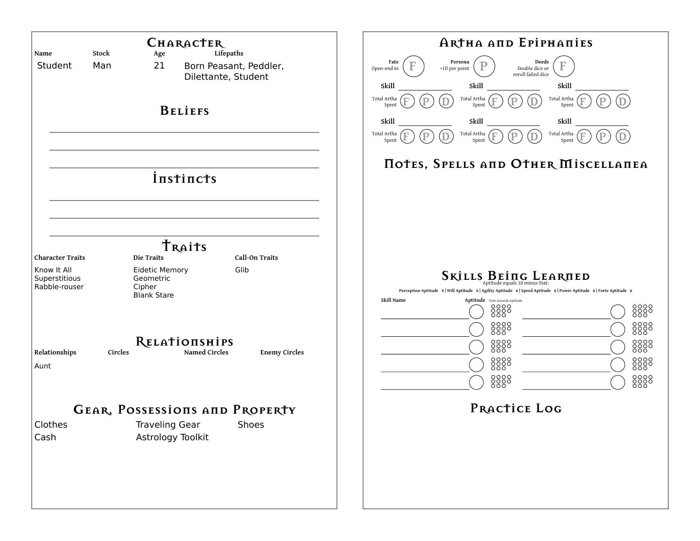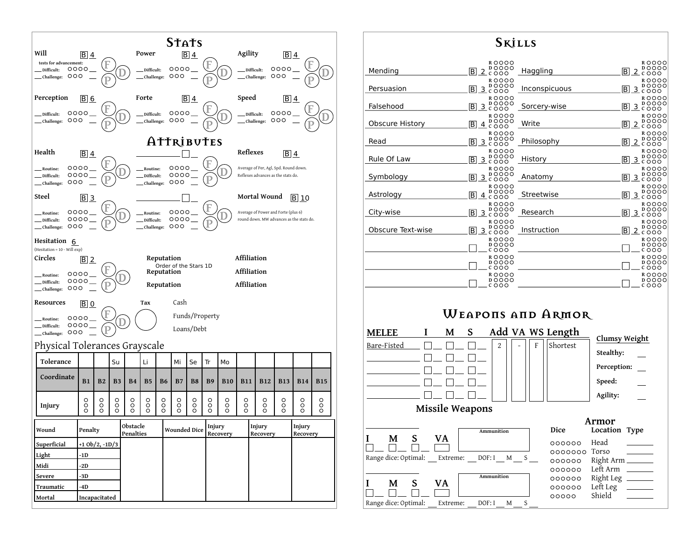

| <b>S</b> kills         |                                                                                                                                            |               |                                                                                         |
|------------------------|--------------------------------------------------------------------------------------------------------------------------------------------|---------------|-----------------------------------------------------------------------------------------|
| Mending                | ROOOO<br>DOOOO<br><u>2 čooo</u><br>B.                                                                                                      | Haggling      | <b>ROOOO</b><br>DOOOO<br><u>2</u> čŏŏō<br>IBI.                                          |
| Persuasion             | ROOOO<br><b>DOOOO</b><br>$\mathsf B$<br>3 č ŏŏŏ                                                                                            | Inconspicuous | ROOOO<br><b>DOOOO</b><br>B<br>3 čŏŏò                                                    |
| Falsehood              | ROOOO<br><b>DOOOO</b><br>$\overline{\mathsf{B}}$<br>3<br>0000                                                                              | Sorcery-wise  | ROOOO<br>DOOOO<br>B.<br>3 čŏŏō                                                          |
| <b>Obscure History</b> | ROOOO<br><b>DOOOO</b><br>B.<br><u>4</u> č ŏŏo                                                                                              | Write         | ROOOO<br>DOOOO<br><u> B 2 შ</u> ბბბ                                                     |
| Read                   | ROOOO<br><b>DOOOO</b><br>lB.<br><u>3</u> čŏŏo                                                                                              | Philosophy    | ROOOO<br><b>DOOOO</b><br>B<br>$2\tilde{c}$ 000                                          |
| Rule Of Law            | ROOOO<br><b>DOOOO</b><br>$rac{3}{2}$ $\stackrel{1}{c}$ $\stackrel{1}{\circ}$ $\stackrel{1}{\circ}$ $\stackrel{1}{\circ}$<br>$\overline{B}$ | History       | ROOOO<br><b>DOOOO</b><br>$3\overset{\circ}{\circ}\overset{\circ}{\circ}\circ\circ$<br>B |
| Symbology              | ROOOO<br>DOOOO<br>3 - 000<br>$\overline{\mathsf{B}}$                                                                                       | Anatomy       | ROOOO<br><b>DOOOO</b><br>ြ <u>3</u> ငံဝိဝိဝိ                                            |
| Astrology              | ROOOO<br><b>DOOOO</b><br>$\overline{B}$<br>$4$ cooo                                                                                        | Streetwise    | ROOOO<br><b>DOOOO</b><br>$\overline{B}$<br><u>3</u> čŏŏò                                |
| City-wise              | ROOOO<br><b>DOOOO</b><br>$\overline{\mathsf{B}}$<br>3 č ŏŏŏ                                                                                | Research      | ROOOO<br>DOOOO<br>$\overline{\mathsf{B}}$ 3 දී රිරිරි                                   |
| Obscure Text-wise      | ROOOO<br><b>DOOOO</b><br>B.<br>3.5000                                                                                                      | Instruction   | <b>ROOOO</b><br><b>DOOOO</b><br> ∐ 2 იაბბ                                               |
|                        | ROOOO<br>DOOOO<br>COOO                                                                                                                     |               | ROOOO<br><b>DOOOO</b><br>COOO                                                           |
|                        | ROOOO<br>DOOOO<br>COOO                                                                                                                     |               | ROOOO<br><b>DOOOO</b><br>COOO                                                           |
|                        | R OOOO<br>DOOOO<br>COOO                                                                                                                    |               | R OOOO<br>DOOOO<br>COOO                                                                 |
|                        |                                                                                                                                            |               |                                                                                         |

## **Weapons and Armor**

![](_page_1_Figure_3.jpeg)